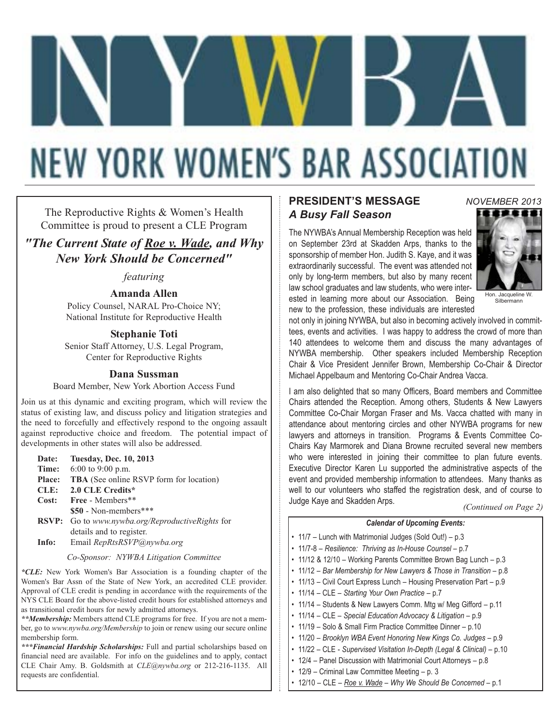# **NEW YORK WOMEN'S BAR ASSOCIATION**

The Reproductive Rights & Women's Health Committee is proud to present a CLE Program

*"The Current State of Roe v. Wade, and Why New York Should be Concerned"*

### *featuring*

### **Amanda Allen**

Policy Counsel, NARAL Pro-Choice NY; National Institute for Reproductive Health

### **Stephanie Toti**

Senior Staff Attorney, U.S. Legal Program, Center for Reproductive Rights

#### **Dana Sussman**

Board Member, New York Abortion Access Fund

Join us at this dynamic and exciting program, which will review the status of existing law, and discuss policy and litigation strategies and the need to forcefully and effectively respond to the ongoing assault against reproductive choice and freedom. The potential impact of developments in other states will also be addressed.

| Date:         | <b>Tuesday, Dec. 10, 2013</b>                           |
|---------------|---------------------------------------------------------|
| Time:         | $6:00$ to 9:00 p.m.                                     |
| <b>Place:</b> | <b>TBA</b> (See online RSVP form for location)          |
| CLE:          | 2.0 CLE Credits*                                        |
| Cost:         | Free - Members**                                        |
|               | $$50$ - Non-members***                                  |
|               | <b>RSVP:</b> Go to www.nywba.org/ReproductiveRights for |
|               | details and to register.                                |

**Info:** Email *RepRtsRSVP@nywba.org*

*Co-Sponsor: NYWBA Litigation Committee*

*\*CLE:* New York Women's Bar Association is a founding chapter of the Women's Bar Assn of the State of New York, an accredited CLE provider. Approval of CLE credit is pending in accordance with the requirements of the NYS CLE Board for the above-listed credit hours for established attorneys and as transitional credit hours for newly admitted attorneys.

*\*\*Membership:* Members attend CLE programs for free. If you are not a member, go to *www.nywba.org/Membership* to join or renew using our secure online membership form.

*\*\*\*Financial Hardship Scholarships:* Full and partial scholarships based on financial need are available. For info on the guidelines and to apply, contact CLE Chair Amy. B. Goldsmith at *CLE@nywba.org* or 212-216-1135. All requests are confidential.

### **PRESIDENT'S MESSAGE** *A Busy Fall Season*

The NYWBA's Annual Membership Reception was held on September 23rd at Skadden Arps, thanks to the sponsorship of member Hon. Judith S. Kaye, and it was extraordinarily successful. The event was attended not only by long-term members, but also by many recent law school graduates and law students, who were interested in learning more about our Association. Being new to the profession, these individuals are interested



*NOVEMBER 2013*

Silbermann

not only in joining NYWBA, but also in becoming actively involved in committees, events and activities. I was happy to address the crowd of more than 140 attendees to welcome them and discuss the many advantages of NYWBA membership. Other speakers included Membership Reception Chair & Vice President Jennifer Brown, Membership Co-Chair & Director Michael Appelbaum and Mentoring Co-Chair Andrea Vacca.

I am also delighted that so many Officers, Board members and Committee Chairs attended the Reception. Among others, Students & New Lawyers Committee Co-Chair Morgan Fraser and Ms. Vacca chatted with many in attendance about mentoring circles and other NYWBA programs for new lawyers and attorneys in transition. Programs & Events Committee Co-Chairs Kay Marmorek and Diana Browne recruited several new members who were interested in joining their committee to plan future events. Executive Director Karen Lu supported the administrative aspects of the event and provided membership information to attendees. Many thanks as well to our volunteers who staffed the registration desk, and of course to Judge Kaye and Skadden Arps.

*(Continued on Page 2)*

#### *Calendar of Upcoming Events:*

- 11/7 Lunch with Matrimonial Judges (Sold Out!) p.3
- 11/7-8 *Resilience: Thriving as In-House Counsel* p.7
- 11/12 & 12/10 Working Parents Committee Brown Bag Lunch p.3
- 11/12 *Bar Membership for New Lawyers & Those in Transition* p.8
- 11/13 Civil Court Express Lunch Housing Preservation Part p.9
- 11/14 CLE *Starting Your Own Practice* p.7
- 11/14 Students & New Lawyers Comm. Mtg w/ Meg Gifford p.11
- 11/14 CLE *Special Education Advocacy & Litigation* p.9
- 11/19 Solo & Small Firm Practice Committee Dinner p.10
- 11/20 *Brooklyn WBA Event Honoring New Kings Co. Judges* p.9
- 11/22 CLE *Supervised Visitation In-Depth (Legal & Clinical)* p.10
- 12/4 Panel Discussion with Matrimonial Court Attorneys p.8
- 12/9 Criminal Law Committee Meeting p. 3
- 12/10 CLE *Roe v. Wade Why We Should Be Concerned* p.1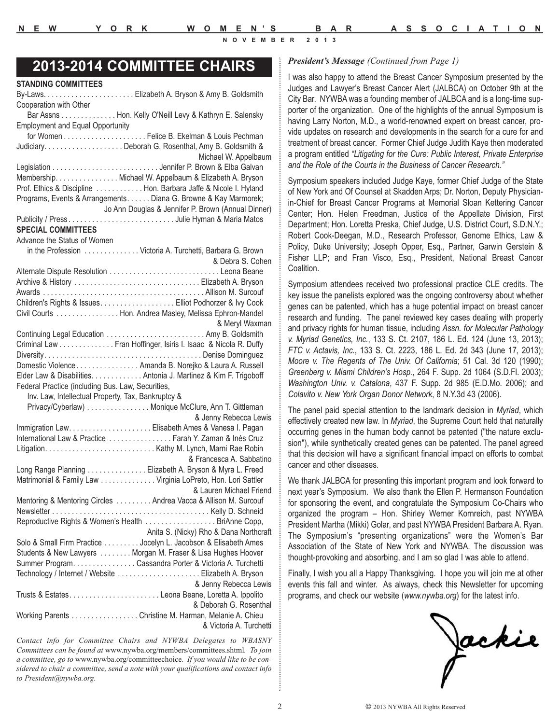**STANDING COMMITTEES**

**NOVEMBER 2013**

### *President's Message (Continued from Page 1)* **2013-2014 COMMITTEE CHAIRS**

| Cooperation with Other<br>Bar Assns Hon. Kelly O'Neill Levy & Kathryn E. Salensky                                                   |
|-------------------------------------------------------------------------------------------------------------------------------------|
| <b>Employment and Equal Opportunity</b>                                                                                             |
|                                                                                                                                     |
|                                                                                                                                     |
| Michael W. Appelbaum                                                                                                                |
|                                                                                                                                     |
| Membership. Nichael W. Appelbaum & Elizabeth A. Bryson                                                                              |
| Prof. Ethics & Discipline Hon. Barbara Jaffe & Nicole I. Hyland<br>Programs, Events & Arrangements. Diana G. Browne & Kay Marmorek; |
| Jo Ann Douglas & Jennifer P. Brown (Annual Dinner)                                                                                  |
| Publicity / PressJulie Hyman & Maria Matos                                                                                          |
| <b>SPECIAL COMMITTEES</b>                                                                                                           |
| Advance the Status of Women                                                                                                         |
| in the Profession  Victoria A. Turchetti, Barbara G. Brown                                                                          |
| & Debra S. Cohen                                                                                                                    |
|                                                                                                                                     |
|                                                                                                                                     |
| Children's Rights & Issues. Elliot Podhorzer & Ivy Cook                                                                             |
| Civil Courts Hon. Andrea Masley, Melissa Ephron-Mandel                                                                              |
| & Meryl Waxman                                                                                                                      |
| Continuing Legal Education  Amy B. Goldsmith                                                                                        |
| Criminal Law Fran Hoffinger, Isiris I. Isaac & Nicola R. Duffy<br>DiversityDenise Dominguez                                         |
| Domestic Violence. Amanda B. Norejko & Laura A. Russell                                                                             |
| Elder Law & Disabilities. Antonia J. Martinez & Kim F. Trigoboff                                                                    |
| Federal Practice (including Bus. Law, Securities,                                                                                   |
| Inv. Law, Intellectual Property, Tax, Bankruptcy &                                                                                  |
| Privacy/Cyberlaw) Monique McClure, Ann T. Gittleman                                                                                 |
| & Jenny Rebecca Lewis                                                                                                               |
| International Law & Practice Farah Y. Zaman & Inés Cruz                                                                             |
|                                                                                                                                     |
|                                                                                                                                     |
| & Francesca A. Sabbatino                                                                                                            |
| Long Range Planning Elizabeth A. Bryson & Myra L. Freed                                                                             |
| Matrimonial & Family Law Virginia LoPreto, Hon. Lori Sattler                                                                        |
| & Lauren Michael Friend                                                                                                             |
| Mentoring & Mentoring Circles Andrea Vacca & Allison M. Surcouf                                                                     |
|                                                                                                                                     |
| Reproductive Rights & Women's Health BriAnne Copp,                                                                                  |
| Anita S. (Nicky) Rho & Dana Northcraft                                                                                              |
| Solo & Small Firm Practice Jocelyn L. Jacobson & Elisabeth Ames<br>Students & New Lawyers Morgan M. Fraser & Lisa Hughes Hoover     |
| Summer Program. Cassandra Porter & Victoria A. Turchetti                                                                            |
| Technology / Internet / Website Elizabeth A. Bryson                                                                                 |
| & Jenny Rebecca Lewis                                                                                                               |
| Trusts & EstatesLeona Beane, Loretta A. Ippolito                                                                                    |
| & Deborah G. Rosenthal<br>Working Parents Christine M. Harman, Melanie A. Chieu                                                     |

*Contact info for Committee Chairs and NYWBA Delegates to WBASNY Committees can be found at* www.nywba.org/members/committees.shtml*. To join a committee, go to* www.nywba.org/committeechoice*. If you would like to be considered to chair a committee, send a note with your qualifications and contact info to President@nywba.org.*

I was also happy to attend the Breast Cancer Symposium presented by the Judges and Lawyer's Breast Cancer Alert (JALBCA) on October 9th at the City Bar. NYWBA was a founding member of JALBCA and is a long-time supporter of the organization. One of the highlights of the annual Symposium is having Larry Norton, M.D., a world-renowned expert on breast cancer, provide updates on research and developments in the search for a cure for and treatment of breast cancer. Former Chief Judge Judith Kaye then moderated a program entitled *"Litigating for the Cure: Public Interest, Private Enterprise and the Role of the Courts in the Business of Cancer Research."*

Symposium speakers included Judge Kaye, former Chief Judge of the State of New York and Of Counsel at Skadden Arps; Dr. Norton, Deputy Physicianin-Chief for Breast Cancer Programs at Memorial Sloan Kettering Cancer Center; Hon. Helen Freedman, Justice of the Appellate Division, First Department; Hon. Loretta Preska, Chief Judge, U.S. District Court, S.D.N.Y.; Robert Cook-Deegan, M.D., Research Professor, Genome Ethics, Law & Policy, Duke University; Joseph Opper, Esq., Partner, Garwin Gerstein & Fisher LLP; and Fran Visco, Esq., President, National Breast Cancer Coalition.

Symposium attendees received two professional practice CLE credits. The key issue the panelists explored was the ongoing controversy about whether genes can be patented, which has a huge potential impact on breast cancer research and funding. The panel reviewed key cases dealing with property and privacy rights for human tissue, including *Assn. for Molecular Pathology v. Myriad Genetics, Inc.*, 133 S. Ct. 2107, 186 L. Ed. 124 (June 13, 2013); *FTC v. Actavis, Inc.*, 133 S. Ct. 2223, 186 L. Ed. 2d 343 (June 17, 2013); *Moore v. The Regents of The Univ. Of California*; 51 Cal. 3d 120 (1990); *Greenberg v. Miami Children's Hosp.*, 264 F. Supp. 2d 1064 (S.D.Fl. 2003); *Washington Univ. v. Catalona*, 437 F. Supp. 2d 985 (E.D.Mo. 2006); and *Colavito v. New York Organ Donor Network*, 8 N.Y.3d 43 (2006).

The panel paid special attention to the landmark decision in *Myriad*, which effectively created new law. In *Myriad*, the Supreme Court held that naturally occurring genes in the human body cannot be patented ("the nature exclusion"), while synthetically created genes can be patented. The panel agreed that this decision will have a significant financial impact on efforts to combat cancer and other diseases.

We thank JALBCA for presenting this important program and look forward to next year's Symposium. We also thank the Ellen P. Hermanson Foundation for sponsoring the event, and congratulate the Symposium Co-Chairs who organized the program – Hon. Shirley Werner Kornreich, past NYWBA President Martha (Mikki) Golar, and past NYWBA President Barbara A. Ryan. The Symposium's "presenting organizations" were the Women's Bar Association of the State of New York and NYWBA. The discussion was thought-provoking and absorbing, and I am so glad I was able to attend.

Finally, I wish you all a Happy Thanksgiving. I hope you will join me at other events this fall and winter. As always, check this Newsletter for upcoming programs, and check our website (*www.nywba.org*) for the latest info.

Jackie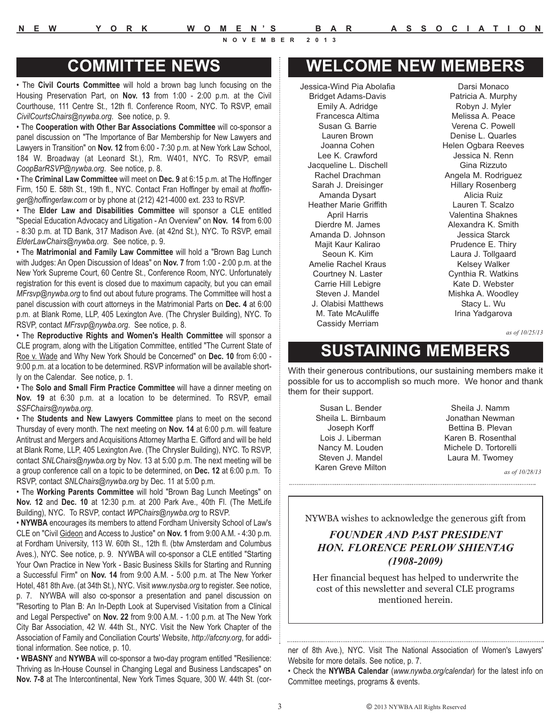### **COMMITTEE NEWS**

• The **Civil Courts Committee** will hold a brown bag lunch focusing on the Housing Preservation Part, on **Nov. 13** from 1:00 - 2:00 p.m. at the Civil Courthouse, 111 Centre St., 12th fl. Conference Room, NYC. To RSVP, email *CivilCourtsChairs@nywba.org*. See notice, p. 9.

• The **Cooperation with Other Bar Associations Committee** will co-sponsor a panel discussion on "The Importance of Bar Membership for New Lawyers and Lawyers in Transition" on **Nov. 12** from 6:00 - 7:30 p.m. at New York Law School, 184 W. Broadway (at Leonard St.), Rm. W401, NYC. To RSVP, email *CoopBarRSVP@nywba.org*. See notice, p. 8.

• The **Criminal Law Committee** will meet on **Dec. 9** at 6:15 p.m. at The Hoffinger Firm, 150 E. 58th St., 19th fl., NYC. Contact Fran Hoffinger by email at *fhoffinger@hoffingerlaw.com* or by phone at (212) 421-4000 ext. 233 to RSVP.

• The **Elder Law and Disabilities Committee** will sponsor a CLE entitled "Special Education Advocacy and Litigation - An Overview" on **Nov. 14** from 6:00 - 8:30 p.m. at TD Bank, 317 Madison Ave. (at 42nd St.), NYC. To RSVP, email *ElderLawChairs@nywba.org*. See notice, p. 9.

• The **Matrimonial and Family Law Committee** will hold a "Brown Bag Lunch with Judges: An Open Discussion of Ideas" on **Nov. 7** from 1:00 - 2:00 p.m. at the New York Supreme Court, 60 Centre St., Conference Room, NYC. Unfortunately registration for this event is closed due to maximum capacity, but you can email *MFrsvp@nywba.org* to find out about future programs. The Committee will host a panel discussion with court attorneys in the Matrimonial Parts on **Dec. 4** at 6:00 p.m. at Blank Rome, LLP, 405 Lexington Ave. (The Chrysler Building), NYC. To RSVP, contact *MFrsvp@nywba.org*. See notice, p. 8.

• The **Reproductive Rights and Women's Health Committee** will sponsor a CLE program, along with the Litigation Committee, entitled "The Current State of Roe v. Wade and Why New York Should be Concerned" on **Dec. 10** from 6:00 - 9:00 p.m. at a location to be determined. RSVP information will be available shortly on the Calendar. See notice, p. 1.

• The **Solo and Small Firm Practice Committee** will have a dinner meeting on **Nov. 19** at 6:30 p.m. at a location to be determined. To RSVP, email *SSFChairs@nywba.org*.

• The **Students and New Lawyers Committee** plans to meet on the second Thursday of every month. The next meeting on **Nov. 14** at 6:00 p.m. will feature Antitrust and Mergers and Acquisitions Attorney Martha E. Gifford and will be held at Blank Rome, LLP, 405 Lexington Ave. (The Chrysler Building), NYC. To RSVP, contact *SNLChairs@nywba.org* by Nov. 13 at 5:00 p.m. The next meeting will be a group conference call on a topic to be determined, on **Dec. 12** at 6:00 p.m. To RSVP, contact *SNLChairs@nywba.org* by Dec. 11 at 5:00 p.m.

• The **Working Parents Committee** will hold "Brown Bag Lunch Meetings" on **Nov. 12** and **Dec. 10** at 12:30 p.m. at 200 Park Ave., 40th Fl. (The MetLife Building), NYC. To RSVP, contact *WPChairs@nywba.org* to RSVP.

• **NYWBA** encourages its members to attend Fordham University School of Law's CLE on "Civil Gideon and Access to Justice" on **Nov. 1** from 9:00 A.M. - 4:30 p.m. at Fordham University, 113 W. 60th St., 12th fl. (btw Amsterdam and Columbus Aves.), NYC. See notice, p. 9. NYWBA will co-sponsor a CLE entitled "Starting Your Own Practice in New York - Basic Business Skills for Starting and Running a Successful Firm" on **Nov. 14** from 9:00 A.M. - 5:00 p.m. at The New Yorker Hotel, 481 8th Ave. (at 34th St.), NYC. Visit *www.nysba.org* to register. See notice, p. 7. NYWBA will also co-sponsor a presentation and panel discussion on "Resorting to Plan B: An In-Depth Look at Supervised Visitation from a Clinical and Legal Perspective" on **Nov. 22** from 9:00 A.M. - 1:00 p.m. at The New York City Bar Association, 42 W. 44th St., NYC. Visit the New York Chapter of the Association of Family and Conciliation Courts' Website, *http://afccny.org*, for additional information. See notice, p. 10.

• **WBASNY** and **NYWBA** will co-sponsor a two-day program entitled "Resilience: Thriving as In-House Counsel in Changing Legal and Business Landscapes" on **Nov. 7-8** at The Intercontinental, New York Times Square, 300 W. 44th St. (cor-

# **WELCOME NEW MEMBERS**

Jessica-Wind Pia Abolafia Bridget Adams-Davis Emily A. Adridge Francesca Altima Susan G. Barrie Lauren Brown Joanna Cohen Lee K. Crawford Jacqueline L. Dischell Rachel Drachman Sarah J. Dreisinger Amanda Dysart Heather Marie Griffith April Harris Dierdre M. James Amanda D. Johnson Majit Kaur Kalirao Seoun K. Kim Amelie Rachel Kraus Courtney N. Laster Carrie Hill Lebigre Steven J. Mandel J. Olabisi Matthews M. Tate McAuliffe Cassidy Merriam

Darsi Monaco Patricia A. Murphy Robyn J. Myler Melissa A. Peace Verena C. Powell Denise L. Quarles Helen Ogbara Reeves Jessica N. Renn Gina Rizzuto Angela M. Rodriguez Hillary Rosenberg Alicia Ruiz Lauren T. Scalzo Valentina Shaknes Alexandra K. Smith Jessica Starck Prudence E. Thiry Laura J. Tollgaard Kelsey Walker Cynthia R. Watkins Kate D. Webster Mishka A. Woodley Stacy L. Wu Irina Yadgarova

*as of 10/25/13*

# **SUSTAINING MEMBERS**

With their generous contributions, our sustaining members make it possible for us to accomplish so much more. We honor and thank them for their support.

> Susan L. Bender Sheila L. Birnbaum Joseph Korff Lois J. Liberman Nancy M. Louden Steven J. Mandel Karen Greve Milton

*as of 10/28/13*

NYWBA wishes to acknowledge the generous gift from

### *FOUNDER AND PAST PRESIDENT HON. FLORENCE PERLOW SHIENTAG (1908-2009)*

Her financial bequest has helped to underwrite the cost of this newsletter and several CLE programs mentioned herein.

ner of 8th Ave.), NYC. Visit The National Association of Women's Lawyers' Website for more details. See notice, p. 7.

• Check the **NYWBA Calendar** (*www.nywba.org/calendar*) for the latest info on Committee meetings, programs & events.

Sheila J. Namm Jonathan Newman Bettina B. Plevan Karen B. Rosenthal Michele D. Tortorelli Laura M. Twomey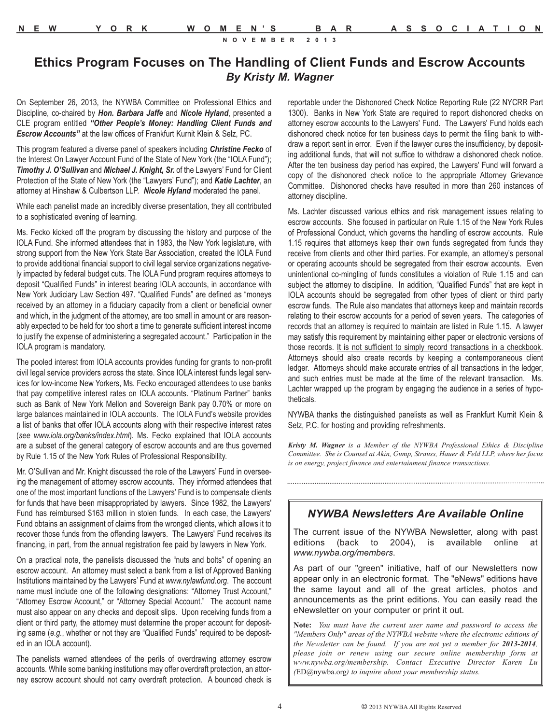### **Ethics Program Focuses on The Handling of Client Funds and Escrow Accounts**  *By Kristy M. Wagner*

On September 26, 2013, the NYWBA Committee on Professional Ethics and Discipline, co-chaired by *Hon. Barbara Jaffe* and *Nicole Hyland*, presented a CLE program entitled *"Other People's Money: Handling Client Funds and Escrow Accounts"* at the law offices of Frankfurt Kurnit Klein & Selz, PC.

This program featured a diverse panel of speakers including *Christine Fecko* of the Interest On Lawyer Account Fund of the State of New York (the "IOLA Fund"); *Timothy J. O'Sullivan* and *Michael J. Knight, Sr.* of the Lawyers' Fund for Client Protection of the State of New York (the "Lawyers' Fund"); and *Katie Lachter*, an attorney at Hinshaw & Culbertson LLP. *Nicole Hyland* moderated the panel.

While each panelist made an incredibly diverse presentation, they all contributed to a sophisticated evening of learning.

Ms. Fecko kicked off the program by discussing the history and purpose of the IOLA Fund. She informed attendees that in 1983, the New York legislature, with strong support from the New York State Bar Association, created the IOLA Fund to provide additional financial support to civil legal service organizations negatively impacted by federal budget cuts. The IOLA Fund program requires attorneys to deposit "Qualified Funds" in interest bearing IOLA accounts, in accordance with New York Judiciary Law Section 497. "Qualified Funds" are defined as "moneys received by an attorney in a fiduciary capacity from a client or beneficial owner and which, in the judgment of the attorney, are too small in amount or are reasonably expected to be held for too short a time to generate sufficient interest income to justify the expense of administering a segregated account." Participation in the IOLA program is mandatory.

The pooled interest from IOLA accounts provides funding for grants to non-profit civil legal service providers across the state. Since IOLA interest funds legal services for low-income New Yorkers, Ms. Fecko encouraged attendees to use banks that pay competitive interest rates on IOLA accounts. "Platinum Partner" banks such as Bank of New York Mellon and Sovereign Bank pay 0.70% or more on large balances maintained in IOLA accounts. The IOLA Fund's website provides a list of banks that offer IOLA accounts along with their respective interest rates (*see www.iola.org/banks/index.html*). Ms. Fecko explained that IOLA accounts are a subset of the general category of escrow accounts and are thus governed by Rule 1.15 of the New York Rules of Professional Responsibility.

Mr. O'Sullivan and Mr. Knight discussed the role of the Lawyers' Fund in overseeing the management of attorney escrow accounts. They informed attendees that one of the most important functions of the Lawyers' Fund is to compensate clients for funds that have been misappropriated by lawyers. Since 1982, the Lawyers' Fund has reimbursed \$163 million in stolen funds. In each case, the Lawyers' Fund obtains an assignment of claims from the wronged clients, which allows it to recover those funds from the offending lawyers. The Lawyers' Fund receives its financing, in part, from the annual registration fee paid by lawyers in New York.

On a practical note, the panelists discussed the "nuts and bolts" of opening an escrow account. An attorney must select a bank from a list of Approved Banking Institutions maintained by the Lawyers' Fund at *www.nylawfund.org*. The account name must include one of the following designations: "Attorney Trust Account," "Attorney Escrow Account," or "Attorney Special Account." The account name must also appear on any checks and deposit slips. Upon receiving funds from a client or third party, the attorney must determine the proper account for depositing same (*e.g.*, whether or not they are "Qualified Funds" required to be deposited in an IOLA account).

The panelists warned attendees of the perils of overdrawing attorney escrow accounts. While some banking institutions may offer overdraft protection, an attorney escrow account should not carry overdraft protection. A bounced check is

reportable under the Dishonored Check Notice Reporting Rule (22 NYCRR Part 1300). Banks in New York State are required to report dishonored checks on attorney escrow accounts to the Lawyers' Fund. The Lawyers' Fund holds each dishonored check notice for ten business days to permit the filing bank to withdraw a report sent in error. Even if the lawyer cures the insufficiency, by depositing additional funds, that will not suffice to withdraw a dishonored check notice. After the ten business day period has expired, the Lawyers' Fund will forward a copy of the dishonored check notice to the appropriate Attorney Grievance Committee. Dishonored checks have resulted in more than 260 instances of attorney discipline.

Ms. Lachter discussed various ethics and risk management issues relating to escrow accounts. She focused in particular on Rule 1.15 of the New York Rules of Professional Conduct, which governs the handling of escrow accounts. Rule 1.15 requires that attorneys keep their own funds segregated from funds they receive from clients and other third parties. For example, an attorney's personal or operating accounts should be segregated from their escrow accounts. Even unintentional co-mingling of funds constitutes a violation of Rule 1.15 and can subject the attorney to discipline. In addition, "Qualified Funds" that are kept in IOLA accounts should be segregated from other types of client or third party escrow funds. The Rule also mandates that attorneys keep and maintain records relating to their escrow accounts for a period of seven years. The categories of records that an attorney is required to maintain are listed in Rule 1.15. A lawyer may satisfy this requirement by maintaining either paper or electronic versions of those records. It is not sufficient to simply record transactions in a checkbook. Attorneys should also create records by keeping a contemporaneous client ledger. Attorneys should make accurate entries of all transactions in the ledger, and such entries must be made at the time of the relevant transaction. Ms. Lachter wrapped up the program by engaging the audience in a series of hypotheticals.

NYWBA thanks the distinguished panelists as well as Frankfurt Kurnit Klein & Selz, P.C. for hosting and providing refreshments.

*Kristy M. Wagner is a Member of the NYWBA Professional Ethics & Discipline Committee. She is Counsel at Akin, Gump, Strauss, Hauer & Feld LLP, where her focus is on energy, project finance and entertainment finance transactions.*

### *NYWBA Newsletters Are Available Online*

The current issue of the NYWBA Newsletter, along with past editions (back to 2004), is available online at *www.nywba.org/members*.

As part of our "green" initiative, half of our Newsletters now appear only in an electronic format. The "eNews" editions have the same layout and all of the great articles, photos and announcements as the print editions. You can easily read the eNewsletter on your computer or print it out.

**Note:** *You must have the current user name and password to access the "Members Only" areas of the NYWBA website where the electronic editions of the Newsletter can be found. If you are not yet a member for 2013-2014, please join or renew using our secure online membership form at www.nywba.org/membership. Contact Executive Director Karen Lu (*ED@nywba.org*) to inquire about your membership status.*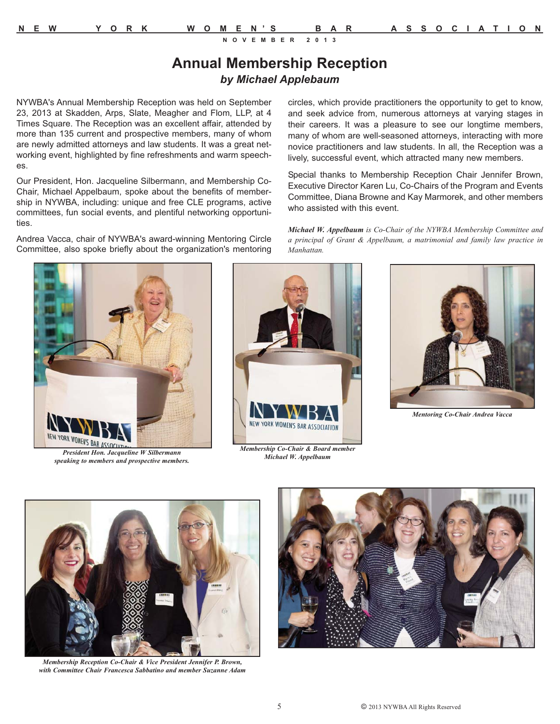### **Annual Membership Reception** *by Michael Applebaum*

NYWBA's Annual Membership Reception was held on September 23, 2013 at Skadden, Arps, Slate, Meagher and Flom, LLP, at 4 Times Square. The Reception was an excellent affair, attended by more than 135 current and prospective members, many of whom are newly admitted attorneys and law students. It was a great networking event, highlighted by fine refreshments and warm speeches.

Our President, Hon. Jacqueline Silbermann, and Membership Co-Chair, Michael Appelbaum, spoke about the benefits of membership in NYWBA, including: unique and free CLE programs, active committees, fun social events, and plentiful networking opportunities.

Andrea Vacca, chair of NYWBA's award-winning Mentoring Circle Committee, also spoke briefly about the organization's mentoring circles, which provide practitioners the opportunity to get to know, and seek advice from, numerous attorneys at varying stages in their careers. It was a pleasure to see our longtime members, many of whom are well-seasoned attorneys, interacting with more novice practitioners and law students. In all, the Reception was a lively, successful event, which attracted many new members.

Special thanks to Membership Reception Chair Jennifer Brown, Executive Director Karen Lu, Co-Chairs of the Program and Events Committee, Diana Browne and Kay Marmorek, and other members who assisted with this event.

*Michael W. Appelbaum is Co-Chair of the NYWBA Membership Committee and a principal of Grant & Appelbaum, a matrimonial and family law practice in Manhattan.*



*President Hon. Jacqueline W Silbermann speaking to members and prospective members.*



*Membership Co-Chair & Board member Michael W. Appelbaum*



*Mentoring Co-Chair Andrea Vacca*



*Membership Reception Co-Chair & Vice President Jennifer P. Brown, with Committee Chair Francesca Sabbatino and member Suzanne Adam*

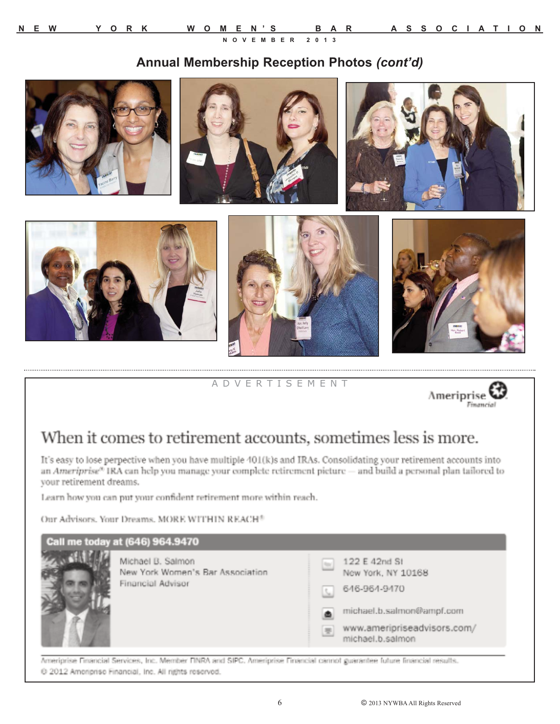### **Annual Membership Reception Photos** *(cont'd)*



A D V E R T I S E M E N T



## When it comes to retirement accounts, sometimes less is more.

It's easy to lose perpective when you have multiple 401(k)s and IRAs. Consolidating your retirement accounts into an Ameriprise<sup>®</sup> IRA can help you manage your complete retirement picture — and build a personal plan tailored to your retirement dreams.

Learn how you can put your confident retirement more within reach.

Our Advisors, Your Dreams, MORE WITHIN REACH<sup>®</sup>



Ameriprise Financial Services, Inc. Member FINRA and SIPC. Ameriprise Financial cannot guarantee future financial results. @ 2012 Ameriprise Financial, Inc. All rights reserved.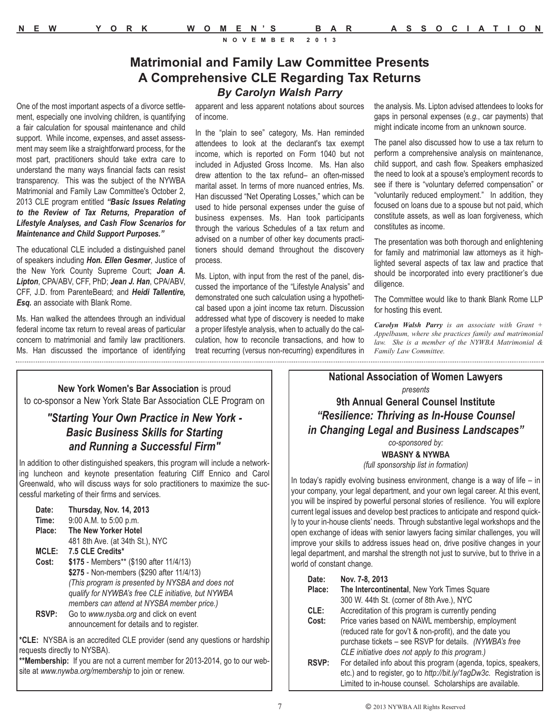### **Matrimonial and Family Law Committee Presents A Comprehensive CLE Regarding Tax Returns**

*By Carolyn Walsh Parry*

One of the most important aspects of a divorce settlement, especially one involving children, is quantifying a fair calculation for spousal maintenance and child support. While income, expenses, and asset assessment may seem like a straightforward process, for the most part, practitioners should take extra care to understand the many ways financial facts can resist transparency. This was the subject of the NYWBA Matrimonial and Family Law Committee's October 2, 2013 CLE program entitled *"Basic Issues Relating to the Review of Tax Returns, Preparation of Lifestyle Analyses, and Cash Flow Scenarios for Maintenance and Child Support Purposes."*

The educational CLE included a distinguished panel of speakers including *Hon. Ellen Gesmer*, Justice of the New York County Supreme Court; *Joan A. Lipton*, CPA/ABV, CFF, PhD; *Jean J. Han*, CPA/ABV, CFF, J.D. from ParenteBeard; and *Heidi Tallentire, Esq.* an associate with Blank Rome.

Ms. Han walked the attendees through an individual federal income tax return to reveal areas of particular concern to matrimonial and family law practitioners. Ms. Han discussed the importance of identifying

apparent and less apparent notations about sources of income.

In the "plain to see" category, Ms. Han reminded attendees to look at the declarant's tax exempt income, which is reported on Form 1040 but not included in Adjusted Gross Income. Ms. Han also drew attention to the tax refund– an often-missed marital asset. In terms of more nuanced entries, Ms. Han discussed "Net Operating Losses," which can be used to hide personal expenses under the guise of business expenses. Ms. Han took participants through the various Schedules of a tax return and advised on a number of other key documents practitioners should demand throughout the discovery process.

Ms. Lipton, with input from the rest of the panel, discussed the importance of the "Lifestyle Analysis" and demonstrated one such calculation using a hypothetical based upon a joint income tax return. Discussion addressed what type of discovery is needed to make a proper lifestyle analysis, when to actually do the calculation, how to reconcile transactions, and how to treat recurring (versus non-recurring) expenditures in the analysis. Ms. Lipton advised attendees to looks for gaps in personal expenses (*e.g.*, car payments) that might indicate income from an unknown source.

The panel also discussed how to use a tax return to perform a comprehensive analysis on maintenance, child support, and cash flow. Speakers emphasized the need to look at a spouse's employment records to see if there is "voluntary deferred compensation" or "voluntarily reduced employment." In addition, they focused on loans due to a spouse but not paid, which constitute assets, as well as loan forgiveness, which constitutes as income.

The presentation was both thorough and enlightening for family and matrimonial law attorneys as it highlighted several aspects of tax law and practice that should be incorporated into every practitioner's due diligence.

The Committee would like to thank Blank Rome LLP for hosting this event.

*Carolyn Walsh Parry is an associate with Grant + Appelbaum, where she practices family and matrimonial law. She is a member of the NYWBA Matrimonial & Family Law Committee.*

**New York Women's Bar Association** is proud to co-sponsor a New York State Bar Association CLE Program on

### *"Starting Your Own Practice in New York - Basic Business Skills for Starting and Running a Successful Firm"*

In addition to other distinguished speakers, this program will include a networking luncheon and keynote presentation featuring Cliff Ennico and Carol Greenwald, who will discuss ways for solo practitioners to maximize the successful marketing of their firms and services.

| Date:        | <b>Thursday, Nov. 14, 2013</b>                     |
|--------------|----------------------------------------------------|
| Time:        | 9:00 A.M. to 5:00 p.m.                             |
| Place:       | The New Yorker Hotel                               |
|              | 481 8th Ave. (at 34th St.), NYC                    |
| <b>MCLE:</b> | 7.5 CLE Credits*                                   |
| Cost:        | \$175 - Members** (\$190 after 11/4/13)            |
|              | \$275 - Non-members (\$290 after 11/4/13)          |
|              | (This program is presented by NYSBA and does not   |
|              | qualify for NYWBA's free CLE initiative, but NYWBA |
|              | members can attend at NYSBA member price.)         |
| <b>RSVP:</b> | Go to www.nysba.org and click on event             |
|              | announcement for details and to register.          |

**\*CLE:** NYSBA is an accredited CLE provider (send any questions or hardship requests directly to NYSBA).

**\*\*Membership:** If you are not a current member for 2013-2014, go to our website at *www.nywba.org/membership* to join or renew.

**National Association of Women Lawyers** *presents* **9th Annual General Counsel Institute** *"Resilience: Thriving as In-House Counsel in Changing Legal and Business Landscapes"*

> *co-sponsored by:* **WBASNY & NYWBA**

*(full sponsorship list in formation)*

In today's rapidly evolving business environment, change is a way of life – in your company, your legal department, and your own legal career. At this event, you will be inspired by powerful personal stories of resilience. You will explore current legal issues and develop best practices to anticipate and respond quickly to your in-house clients' needs. Through substantive legal workshops and the open exchange of ideas with senior lawyers facing similar challenges, you will improve your skills to address issues head on, drive positive changes in your legal department, and marshal the strength not just to survive, but to thrive in a world of constant change.

| Date:  | Nov. 7-8, 2013                                                      |
|--------|---------------------------------------------------------------------|
| Place: | The Intercontinental, New York Times Square                         |
|        | 300 W. 44th St. (corner of 8th Ave.), NYC                           |
| CLE:   | Accreditation of this program is currently pending                  |
| Cost:  | Price varies based on NAWL membership, employment                   |
|        | (reduced rate for gov't & non-profit), and the date you             |
|        | purchase tickets – see RSVP for details. (NYWBA's free              |
|        | CLE initiative does not apply to this program.)                     |
| RSVP:  | For detailed info about this program (agenda, topics, speakers,     |
|        | etc.) and to register, go to http://bit.ly/1agDw3c. Registration is |
|        | Limited to in-house counsel. Scholarships are available.            |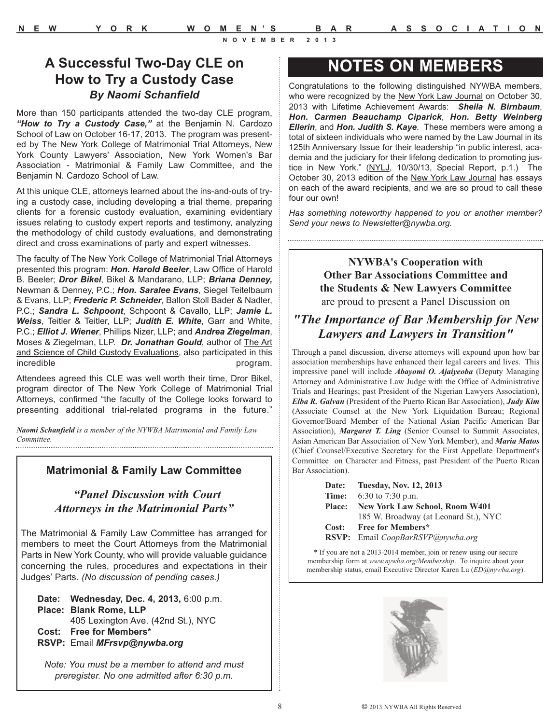### **A Successful Two-Day CLE on How to Try a Custody Case** *By Naomi Schanfield*

More than 150 participants attended the two-day CLE program, *"How to Try a Custody Case,"* at the Benjamin N. Cardozo School of Law on October 16-17, 2013. The program was presented by The New York College of Matrimonial Trial Attorneys, New York County Lawyers' Association, New York Women's Bar Association - Matrimonial & Family Law Committee, and the Benjamin N. Cardozo School of Law.

At this unique CLE, attorneys learned about the ins-and-outs of trying a custody case, including developing a trial theme, preparing clients for a forensic custody evaluation, examining evidentiary issues relating to custody expert reports and testimony, analyzing the methodology of child custody evaluations, and demonstrating direct and cross examinations of party and expert witnesses.

The faculty of The New York College of Matrimonial Trial Attorneys presented this program: *Hon. Harold Beeler*, Law Office of Harold B. Beeler; *Dror Bikel*, Bikel & Mandarano, LLP; *Briana Denney,* Newman & Denney, P.C.; *Hon. Saralee Evans*, Siegel Teitelbaum & Evans, LLP; *Frederic P. Schneider*, Ballon Stoll Bader & Nadler, P.C.; *Sandra L. Schpoont*, Schpoont & Cavallo, LLP; *Jamie L. Weiss*, Teitler & Teitler, LLP; *Judith E. White*, Garr and White, P.C.; *Elliot J. Wiener*, Phillips Nizer, LLP; and *Andrea Ziegelman*, Moses & Ziegelman, LLP. *Dr. Jonathan Gould*, author of The Art and Science of Child Custody Evaluations, also participated in this incredible program.

Attendees agreed this CLE was well worth their time, Dror Bikel, program director of The New York College of Matrimonial Trial Attorneys, confirmed "the faculty of the College looks forward to presenting additional trial-related programs in the future."

*Naomi Schanfield is a member of the NYWBA Matrimonial and Family Law Committee.*

### **Matrimonial & Family Law Committee**

### *"Panel Discussion with Court Attorneys in the Matrimonial Parts"*

The Matrimonial & Family Law Committee has arranged for members to meet the Court Attorneys from the Matrimonial Parts in New York County, who will provide valuable guidance concerning the rules, procedures and expectations in their Judges' Parts. *(No discussion of pending cases.)*

**Date: Wednesday, Dec. 4, 2013,** 6:00 p.m. **Place: Blank Rome, LLP** 405 Lexington Ave. (42nd St.), NYC **Cost: Free for Members\* RSVP:** Email *MFrsvp@nywba.org*

*Note: You must be a member to attend and must preregister. No one admitted after 6:30 p.m.*

### **NOTES ON MEMBERS**

Congratulations to the following distinguished NYWBA members, who were recognized by the New York Law Journal on October 30, 2013 with Lifetime Achievement Awards: *Sheila N. Birnbaum*, *Hon. Carmen Beauchamp Ciparick*, *Hon. Betty Weinberg Ellerin*, and *Hon. Judith S. Kaye*. These members were among a total of sixteen individuals who were named by the Law Journal in its 125th Anniversary Issue for their leadership "in public interest, academia and the judiciary for their lifelong dedication to promoting justice in New York." (NYLJ, 10/30/13, Special Report, p.1.) The October 30, 2013 edition of the New York Law Journal has essays on each of the award recipients, and we are so proud to call these four our own!

*Has something noteworthy happened to you or another member? Send your news to Newsletter@nywba.org.*

**NYWBA's Cooperation with Other Bar Associations Committee and the Students & New Lawyers Committee**  are proud to present a Panel Discussion on

### *"The Importance of Bar Membership for New Lawyers and Lawyers in Transition"*

Through a panel discussion, diverse attorneys will expound upon how bar association memberships have enhanced their legal careers and lives. This impressive panel will include *Abayomi O. Ajaiyeoba* (Deputy Managing Attorney and Administrative Law Judge with the Office of Administrative Trials and Hearings; past President of the Nigerian Lawyers Association), *Elba R. Galvan* (President of the Puerto Rican Bar Association), *Judy Kim* (Associate Counsel at the New York Liquidation Bureau; Regional Governor/Board Member of the National Asian Pacific American Bar Association), *Margaret T. Ling* (Senior Counsel to Summit Associates, Asian American Bar Association of New York Member), and *Maria Matos* (Chief Counsel/Executive Secretary for the First Appellate Department's Committee on Character and Fitness, past President of the Puerto Rican Bar Association).

| Date: Tuesday, Nov. 12, 2013                    |
|-------------------------------------------------|
| <b>Time:</b> 6:30 to 7:30 p.m.                  |
| Place: New York Law School, Room W401           |
| 185 W. Broadway (at Leonard St.), NYC           |
| Cost: Free for Members*                         |
| <b>RSVP:</b> Email <i>CoopBarRSVP@nywba.org</i> |

\* If you are not a 2013-2014 member, join or renew using our secure membership form at *www.nywba.org/Membership*. To inquire about your membership status, email Executive Director Karen Lu (*ED@nywba.org*).

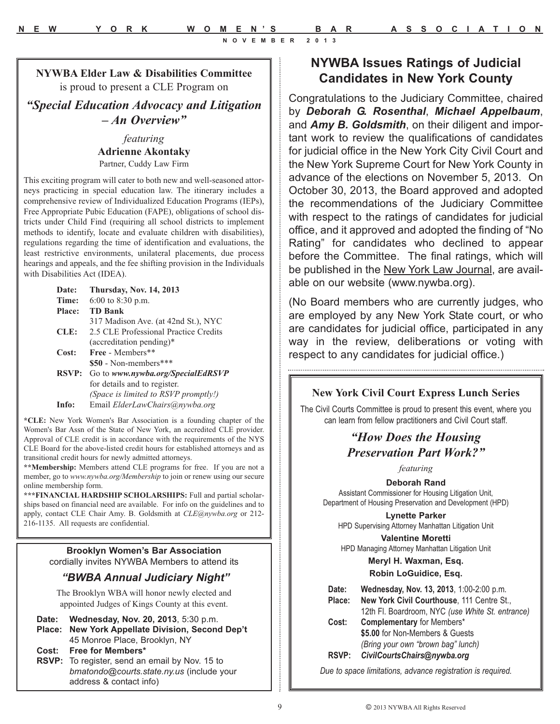**NYWBA Elder Law & Disabilities Committee** is proud to present a CLE Program on

*"Special Education Advocacy and Litigation – An Overview"*

> *featuring* **Adrienne Akontaky** Partner, Cuddy Law Firm

This exciting program will cater to both new and well-seasoned attorneys practicing in special education law. The itinerary includes a comprehensive review of Individualized Education Programs (IEPs), Free Appropriate Pubic Education (FAPE), obligations of school districts under Child Find (requiring all school districts to implement methods to identify, locate and evaluate children with disabilities), regulations regarding the time of identification and evaluations, the least restrictive environments, unilateral placements, due process hearings and appeals, and the fee shifting provision in the Individuals with Disabilities Act (IDEA).

| Date:         | <b>Thursday, Nov. 14, 2013</b>        |
|---------------|---------------------------------------|
| Time:         | $6:00$ to $8:30$ p.m.                 |
| <b>Place:</b> | <b>TD Bank</b>                        |
|               | 317 Madison Ave. (at 42nd St.), NYC   |
| CLE:          | 2.5 CLE Professional Practice Credits |
|               | $(\text{accelitation pending})^*$     |
| Cost:         | Free - Members**                      |
|               | $$50$ - Non-members***                |
| <b>RSVP:</b>  | Go to www.nywba.org/SpecialEdRSVP     |
|               | for details and to register.          |
|               | (Space is limited to RSVP promptly!)  |
| Info:         | Email ElderLawChairs@nywba.org        |

**\*CLE:** New York Women's Bar Association is a founding chapter of the Women's Bar Assn of the State of New York, an accredited CLE provider. Approval of CLE credit is in accordance with the requirements of the NYS CLE Board for the above-listed credit hours for established attorneys and as transitional credit hours for newly admitted attorneys.

**\*\*Membership:** Members attend CLE programs for free. If you are not a member, go to *www.nywba.org/Membership* to join or renew using our secure online membership form.

**\*\*\*FINANCIAL HARDSHIP SCHOLARSHIPS:** Full and partial scholarships based on financial need are available. For info on the guidelines and to apply, contact CLE Chair Amy. B. Goldsmith at *CLE@nywba.org* or 212- 216-1135. All requests are confidential.

> **Brooklyn Women's Bar Association**  cordially invites NYWBA Members to attend its

### *"BWBA Annual Judiciary Night"*

The Brooklyn WBA will honor newly elected and appointed Judges of Kings County at this event.

| Date: Wednesday, Nov. 20, 2013, 5:30 p.m.<br>Place: New York Appellate Division, Second Dep't<br>45 Monroe Place, Brooklyn, NY |
|--------------------------------------------------------------------------------------------------------------------------------|
| Cost: Free for Members*                                                                                                        |
| <b>RSVP:</b> To register, send an email by Nov. 15 to                                                                          |

**Roverthey** Nov. 15 to *bmatondo@courts.state.ny.us* (include your address & contact info)

### **NYWBA Issues Ratings of Judicial Candidates in New York County**

Congratulations to the Judiciary Committee, chaired by *Deborah G. Rosenthal*, *Michael Appelbaum*, and *Amy B. Goldsmith*, on their diligent and important work to review the qualifications of candidates for judicial office in the New York City Civil Court and the New York Supreme Court for New York County in advance of the elections on November 5, 2013. On October 30, 2013, the Board approved and adopted the recommendations of the Judiciary Committee with respect to the ratings of candidates for judicial office, and it approved and adopted the finding of "No Rating" for candidates who declined to appear before the Committee. The final ratings, which will be published in the New York Law Journal, are available on our website (www.nywba.org).

(No Board members who are currently judges, who are employed by any New York State court, or who are candidates for judicial office, participated in any way in the review, deliberations or voting with respect to any candidates for judicial office.)

### **New York Civil Court Express Lunch Series**

The Civil Courts Committee is proud to present this event, where you can learn from fellow practitioners and Civil Court staff.

### *"How Does the Housing Preservation Part Work?"*

*featuring*

**Deborah Rand** Assistant Commissioner for Housing Litigation Unit, Department of Housing Preservation and Development (HPD)

**Lynette Parker** HPD Supervising Attorney Manhattan Litigation Unit

**Valentine Moretti** HPD Managing Attorney Manhattan Litigation Unit

> **Meryl H. Waxman, Esq. Robin LoGuidice, Esq.**

| Date:  | Wednesday, Nov. 13, 2013, 1:00-2:00 p.m.         |
|--------|--------------------------------------------------|
| Place: | New York Civil Courthouse, 111 Centre St         |
|        | 12th Fl. Boardroom, NYC (use White St. entrance) |
| Cost:  | <b>Complementary for Members*</b>                |

**\$5.00** for Non-Members & Guests *(Bring your own "brown bag" lunch)* **RSVP:** *CivilCourtsChairs@nywba.org*

*Due to space limitations, advance registration is required.*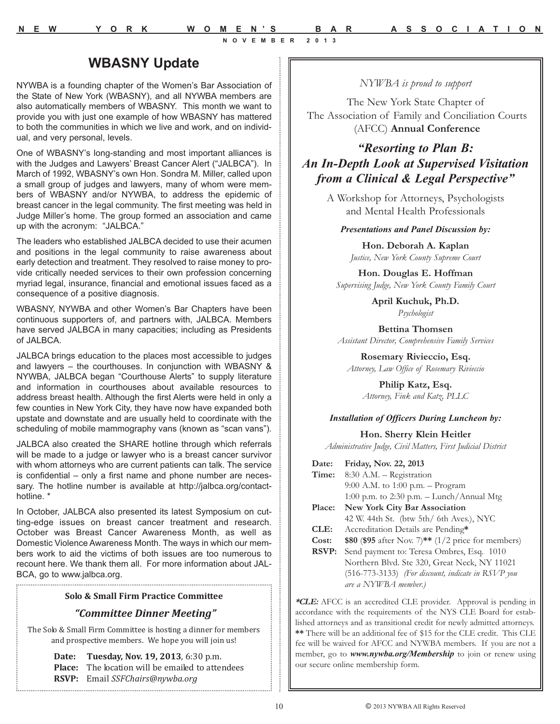### **WBASNY Update**

NYWBA is a founding chapter of the Women's Bar Association of the State of New York (WBASNY), and all NYWBA members are also automatically members of WBASNY. This month we want to provide you with just one example of how WBASNY has mattered to both the communities in which we live and work, and on individual, and very personal, levels.

One of WBASNY's long-standing and most important alliances is with the Judges and Lawyers' Breast Cancer Alert ("JALBCA"). In March of 1992, WBASNY's own Hon. Sondra M. Miller, called upon a small group of judges and lawyers, many of whom were members of WBASNY and/or NYWBA, to address the epidemic of breast cancer in the legal community. The first meeting was held in Judge Miller's home. The group formed an association and came up with the acronym: "JALBCA."

The leaders who established JALBCA decided to use their acumen and positions in the legal community to raise awareness about early detection and treatment. They resolved to raise money to provide critically needed services to their own profession concerning myriad legal, insurance, financial and emotional issues faced as a consequence of a positive diagnosis.

WBASNY, NYWBA and other Women's Bar Chapters have been continuous supporters of, and partners with, JALBCA. Members have served JALBCA in many capacities; including as Presidents of JALBCA.

JALBCA brings education to the places most accessible to judges and lawyers – the courthouses. In conjunction with WBASNY & NYWBA, JALBCA began "Courthouse Alerts" to supply literature and information in courthouses about available resources to address breast health. Although the first Alerts were held in only a few counties in New York City, they have now have expanded both upstate and downstate and are usually held to coordinate with the scheduling of mobile mammography vans (known as "scan vans").

JALBCA also created the SHARE hotline through which referrals will be made to a judge or lawyer who is a breast cancer survivor with whom attorneys who are current patients can talk. The service is confidential – only a first name and phone number are necessary. The hotline number is available at http://jalbca.org/contacthotline. \*

In October, JALBCA also presented its latest Symposium on cutting-edge issues on breast cancer treatment and research. October was Breast Cancer Awareness Month, as well as Domestic Violence Awareness Month. The ways in which our members work to aid the victims of both issues are too numerous to recount here. We thank them all. For more information about JAL-BCA, go to www.jalbca.org.

#### **Solo & Small Firm Practice Committee**

*"Committee Dinner Meeting"* The Solo & Small Firm Committee is hosting a dinner for members and prospective members. We hope you will join us!

> **Date: Tuesday, Nov. 19, 2013**, 6:30 p.m. Place: The location will be emailed to attendees **RSVP:** Email *SSFChairs@nywba.org*

### *NYWBA is proud to support*

The New York State Chapter of The Association of Family and Conciliation Courts (AFCC) **Annual Conference**

### *"Resorting to Plan B: An In-Depth Look at Supervised Visitation from a Clinical & Legal Perspective"*

A Workshop for Attorneys, Psychologists and Mental Health Professionals

#### *Presentations and Panel Discussion by:*

**Hon. Deborah A. Kaplan** *Justice, New York County Supreme Court*

**Hon. Douglas E. Hoffman** *Supervising Judge, New York County Family Court*

> **April Kuchuk, Ph.D.** *Psychologist*

**Bettina Thomsen** *Assistant Director, Comprehensive Family Services*

**Rosemary Rivieccio, Esq.** *Attorney, Law Office of Rosemary Rivieccio*

> **Philip Katz, Esq.** *Attorney, Fink and Katz, PLLC*

#### *Installation of Officers During Luncheon by:*

**Hon. Sherry Klein Heitler**

*Administrative Judge, Civil Matters, First Judicial District*

| Date:         | Friday, Nov. 22, 2013                                        |
|---------------|--------------------------------------------------------------|
| Time:         | 8:30 A.M. - Registration                                     |
|               | 9:00 A.M. to 1:00 p.m. - Program                             |
|               | 1:00 p.m. to 2:30 p.m. $-$ Lunch/Annual Mtg                  |
| <b>Place:</b> | New York City Bar Association                                |
|               | 42 W. 44th St. (btw 5th/ 6th Aves.), NYC                     |
| CLE:          | Accreditation Details are Pending*                           |
| Cost:         | \$80 (\$95 after Nov. 7)** $(1/2 \text{ price for members})$ |
| <b>RSVP:</b>  | Send payment to: Teresa Ombres, Esq. 1010                    |
|               | Northern Blvd. Ste 320, Great Neck, NY 11021                 |
|               | (516-773-3133) (For discount, indicate in RSVP you           |
|               | are a NYWBA member.)                                         |
|               |                                                              |

**\*CLE:** AFCC is an accredited CLE provider. Approval is pending in accordance with the requirements of the NYS CLE Board for established attorneys and as transitional credit for newly admitted attorneys. **\*\*** There will be an additional fee of \$15 for the CLE credit. This CLE fee will be waived for AFCC and NYWBA members. If you are not a member, go to *www.nywba.org/Membership* to join or renew using our secure online membership form.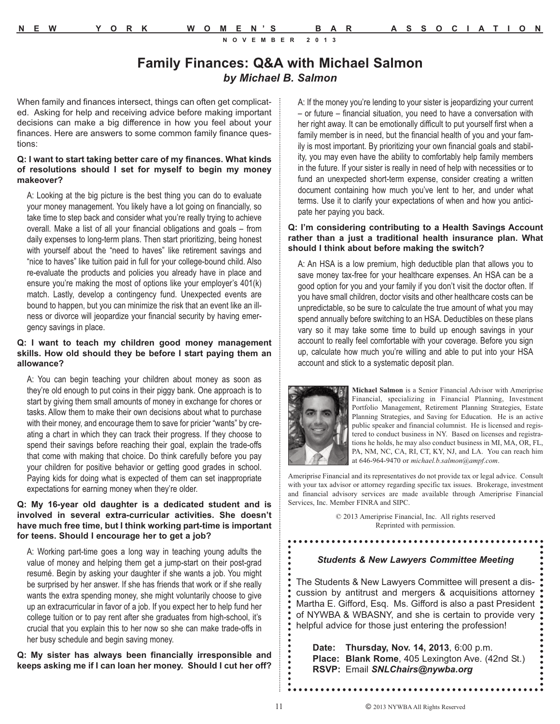### **Family Finances: Q&A with Michael Salmon** *by Michael B. Salmon*

When family and finances intersect, things can often get complicated. Asking for help and receiving advice before making important decisions can make a big difference in how you feel about your finances. Here are answers to some common family finance questions:

#### **Q: I want to start taking better care of my finances. What kinds of resolutions should I set for myself to begin my money makeover?**

A: Looking at the big picture is the best thing you can do to evaluate your money management. You likely have a lot going on financially, so take time to step back and consider what you're really trying to achieve overall. Make a list of all your financial obligations and goals – from daily expenses to long-term plans. Then start prioritizing, being honest with yourself about the "need to haves" like retirement savings and "nice to haves" like tuition paid in full for your college-bound child. Also re-evaluate the products and policies you already have in place and ensure you're making the most of options like your employer's 401(k) match. Lastly, develop a contingency fund. Unexpected events are bound to happen, but you can minimize the risk that an event like an illness or divorce will jeopardize your financial security by having emergency savings in place.

#### **Q: I want to teach my children good money management skills. How old should they be before I start paying them an allowance?**

A: You can begin teaching your children about money as soon as they're old enough to put coins in their piggy bank. One approach is to start by giving them small amounts of money in exchange for chores or tasks. Allow them to make their own decisions about what to purchase with their money, and encourage them to save for pricier "wants" by creating a chart in which they can track their progress. If they choose to spend their savings before reaching their goal, explain the trade-offs that come with making that choice. Do think carefully before you pay your children for positive behavior or getting good grades in school. Paying kids for doing what is expected of them can set inappropriate expectations for earning money when they're older.

#### **Q: My 16-year old daughter is a dedicated student and is involved in several extra-curricular activities. She doesn't have much free time, but I think working part-time is important for teens. Should I encourage her to get a job?**

A: Working part-time goes a long way in teaching young adults the value of money and helping them get a jump-start on their post-grad resumé. Begin by asking your daughter if she wants a job. You might be surprised by her answer. If she has friends that work or if she really wants the extra spending money, she might voluntarily choose to give up an extracurricular in favor of a job. If you expect her to help fund her college tuition or to pay rent after she graduates from high-school, it's crucial that you explain this to her now so she can make trade-offs in her busy schedule and begin saving money.

**Q: My sister has always been financially irresponsible and keeps asking me if I can loan her money. Should I cut her off?** A: If the money you're lending to your sister is jeopardizing your current – or future – financial situation, you need to have a conversation with her right away. It can be emotionally difficult to put yourself first when a family member is in need, but the financial health of you and your family is most important. By prioritizing your own financial goals and stability, you may even have the ability to comfortably help family members in the future. If your sister is really in need of help with necessities or to fund an unexpected short-term expense, consider creating a written document containing how much you've lent to her, and under what terms. Use it to clarify your expectations of when and how you anticipate her paying you back.

### **Q: I'm considering contributing to a Health Savings Account rather than a just a traditional health insurance plan. What should I think about before making the switch?**

A: An HSA is a low premium, high deductible plan that allows you to save money tax-free for your healthcare expenses. An HSA can be a good option for you and your family if you don't visit the doctor often. If you have small children, doctor visits and other healthcare costs can be unpredictable, so be sure to calculate the true amount of what you may spend annually before switching to an HSA. Deductibles on these plans vary so it may take some time to build up enough savings in your account to really feel comfortable with your coverage. Before you sign up, calculate how much you're willing and able to put into your HSA account and stick to a systematic deposit plan.



**Michael Salmon** is a Senior Financial Advisor with Ameriprise Financial, specializing in Financial Planning, Investment Portfolio Management, Retirement Planning Strategies, Estate Planning Strategies, and Saving for Education. He is an active public speaker and financial columnist. He is licensed and registered to conduct business in NY. Based on licenses and registrations he holds, he may also conduct business in MI, MA, OR, FL, PA, NM, NC, CA, RI, CT, KY, NJ, and LA. You can reach him at 646-964-9470 or *michael.b.salmon@ampf.com*.

Ameriprise Financial and its representatives do not provide tax or legal advice. Consult with your tax advisor or attorney regarding specific tax issues. Brokerage, investment and financial advisory services are made available through Ameriprise Financial Services, Inc. Member FINRA and SIPC.

> © 2013 Ameriprise Financial, Inc. All rights reserved Reprinted with permission.

#### *Students & New Lawyers Committee Meeting*

The Students & New Lawyers Committee will present a discussion by antitrust and mergers & acquisitions attorney Martha E. Gifford, Esq. Ms. Gifford is also a past President of NYWBA & WBASNY, and she is certain to provide very helpful advice for those just entering the profession!

**Date: Thursday, Nov. 14, 2013**, 6:00 p.m. **Place: Blank Rome**, 405 Lexington Ave. (42nd St.) **RSVP:** Email *SNLChairs@nywba.org* 

:.